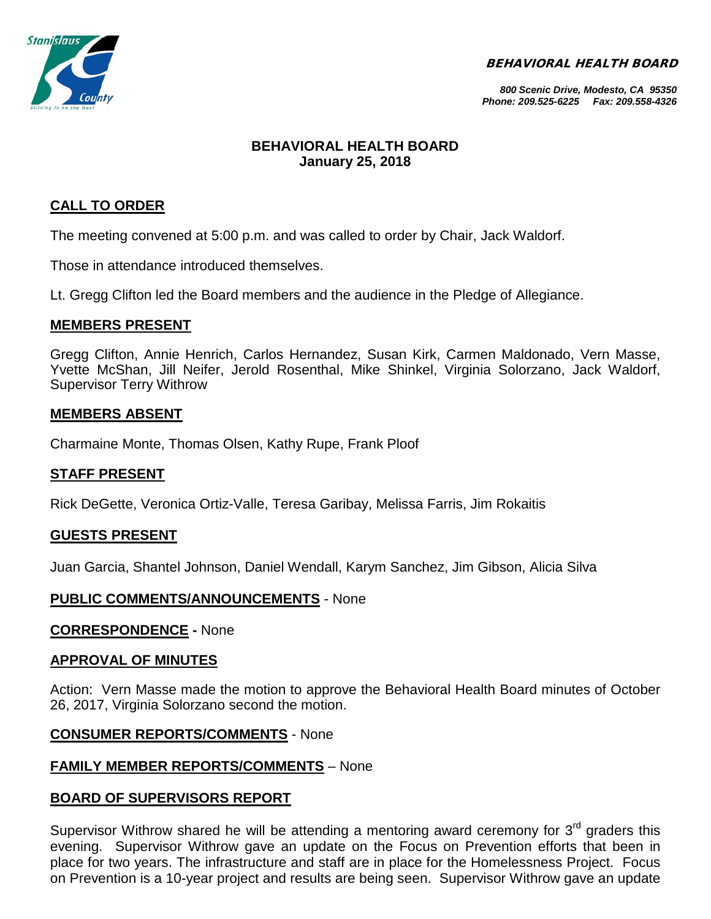BEHAVIORAL HEALTH BOARD



#### *800 Scenic Drive, Modesto, CA 95350 Phone: 209.525-6225 Fax: 209.558-4326*

# **BEHAVIORAL HEALTH BOARD January 25, 2018**

# **CALL TO ORDER**

The meeting convened at 5:00 p.m. and was called to order by Chair, Jack Waldorf.

Those in attendance introduced themselves.

Lt. Gregg Clifton led the Board members and the audience in the Pledge of Allegiance.

# **MEMBERS PRESENT**

Gregg Clifton, Annie Henrich, Carlos Hernandez, Susan Kirk, Carmen Maldonado, Vern Masse, Yvette McShan, Jill Neifer, Jerold Rosenthal, Mike Shinkel, Virginia Solorzano, Jack Waldorf, Supervisor Terry Withrow

# **MEMBERS ABSENT**

Charmaine Monte, Thomas Olsen, Kathy Rupe, Frank Ploof

# **STAFF PRESENT**

Rick DeGette, Veronica Ortiz-Valle, Teresa Garibay, Melissa Farris, Jim Rokaitis

# **GUESTS PRESENT**

Juan Garcia, Shantel Johnson, Daniel Wendall, Karym Sanchez, Jim Gibson, Alicia Silva

# **PUBLIC COMMENTS/ANNOUNCEMENTS** - None

# **CORRESPONDENCE -** None

# **APPROVAL OF MINUTES**

Action: Vern Masse made the motion to approve the Behavioral Health Board minutes of October 26, 2017, Virginia Solorzano second the motion.

# **CONSUMER REPORTS/COMMENTS** - None

# **FAMILY MEMBER REPORTS/COMMENTS** – None

# **BOARD OF SUPERVISORS REPORT**

Supervisor Withrow shared he will be attending a mentoring award ceremony for  $3<sup>rd</sup>$  graders this evening. Supervisor Withrow gave an update on the Focus on Prevention efforts that been in place for two years. The infrastructure and staff are in place for the Homelessness Project. Focus on Prevention is a 10-year project and results are being seen. Supervisor Withrow gave an update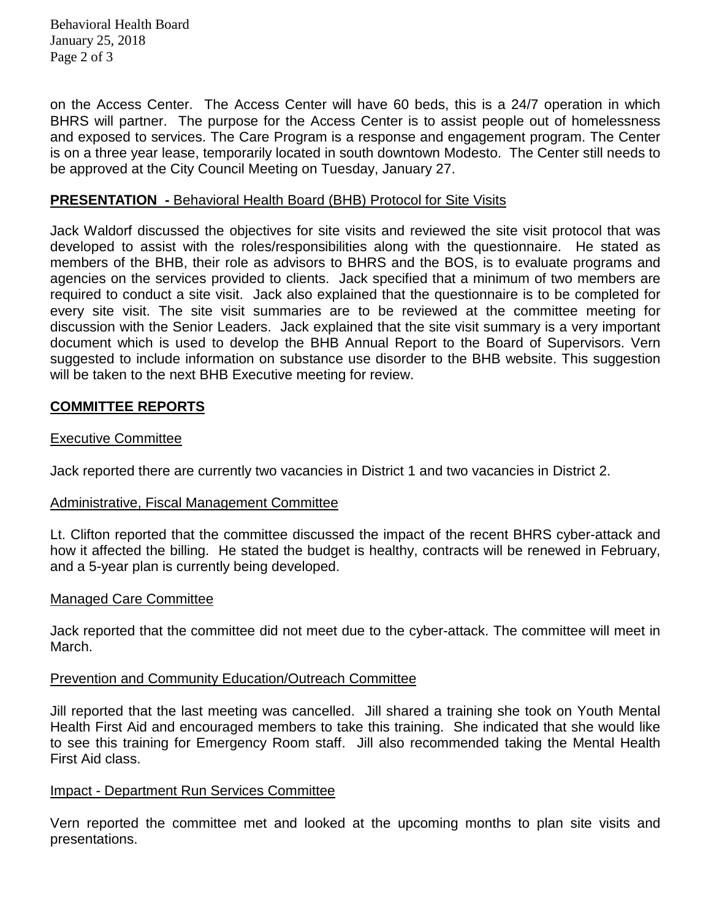Behavioral Health Board January 25, 2018 Page 2 of 3

on the Access Center. The Access Center will have 60 beds, this is a 24/7 operation in which BHRS will partner. The purpose for the Access Center is to assist people out of homelessness and exposed to services. The Care Program is a response and engagement program. The Center is on a three year lease, temporarily located in south downtown Modesto. The Center still needs to be approved at the City Council Meeting on Tuesday, January 27.

#### **PRESENTATION -** Behavioral Health Board (BHB) Protocol for Site Visits

Jack Waldorf discussed the objectives for site visits and reviewed the site visit protocol that was developed to assist with the roles/responsibilities along with the questionnaire. He stated as members of the BHB, their role as advisors to BHRS and the BOS, is to evaluate programs and agencies on the services provided to clients. Jack specified that a minimum of two members are required to conduct a site visit. Jack also explained that the questionnaire is to be completed for every site visit. The site visit summaries are to be reviewed at the committee meeting for discussion with the Senior Leaders. Jack explained that the site visit summary is a very important document which is used to develop the BHB Annual Report to the Board of Supervisors. Vern suggested to include information on substance use disorder to the BHB website. This suggestion will be taken to the next BHB Executive meeting for review.

# **COMMITTEE REPORTS**

#### Executive Committee

Jack reported there are currently two vacancies in District 1 and two vacancies in District 2.

#### Administrative, Fiscal Management Committee

Lt. Clifton reported that the committee discussed the impact of the recent BHRS cyber-attack and how it affected the billing. He stated the budget is healthy, contracts will be renewed in February, and a 5-year plan is currently being developed.

#### Managed Care Committee

Jack reported that the committee did not meet due to the cyber-attack. The committee will meet in March.

# Prevention and Community Education/Outreach Committee

Jill reported that the last meeting was cancelled. Jill shared a training she took on Youth Mental Health First Aid and encouraged members to take this training. She indicated that she would like to see this training for Emergency Room staff. Jill also recommended taking the Mental Health First Aid class.

#### Impact - Department Run Services Committee

Vern reported the committee met and looked at the upcoming months to plan site visits and presentations.